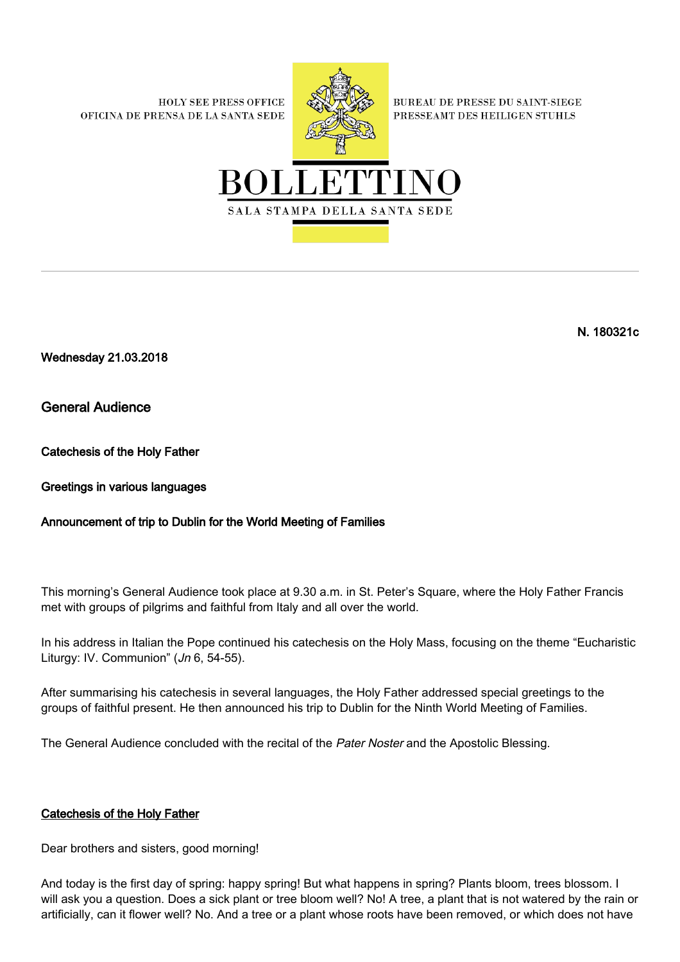**HOLY SEE PRESS OFFICE** OFICINA DE PRENSA DE LA SANTA SEDE



**BUREAU DE PRESSE DU SAINT-SIEGE** PRESSEAMT DES HEILIGEN STUHLS



Wednesday 21.03.2018

General Audience

Catechesis of the Holy Father

Greetings in various languages

# Announcement of trip to Dublin for the World Meeting of Families

This morning's General Audience took place at 9.30 a.m. in St. Peter's Square, where the Holy Father Francis met with groups of pilgrims and faithful from Italy and all over the world.

In his address in Italian the Pope continued his catechesis on the Holy Mass, focusing on the theme "Eucharistic Liturgy: IV. Communion" (Jn 6, 54-55).

After summarising his catechesis in several languages, the Holy Father addressed special greetings to the groups of faithful present. He then announced his trip to Dublin for the Ninth World Meeting of Families.

The General Audience concluded with the recital of the Pater Noster and the Apostolic Blessing.

## Catechesis of the Holy Father

Dear brothers and sisters, good morning!

And today is the first day of spring: happy spring! But what happens in spring? Plants bloom, trees blossom. I will ask you a question. Does a sick plant or tree bloom well? No! A tree, a plant that is not watered by the rain or artificially, can it flower well? No. And a tree or a plant whose roots have been removed, or which does not have

N. 180321c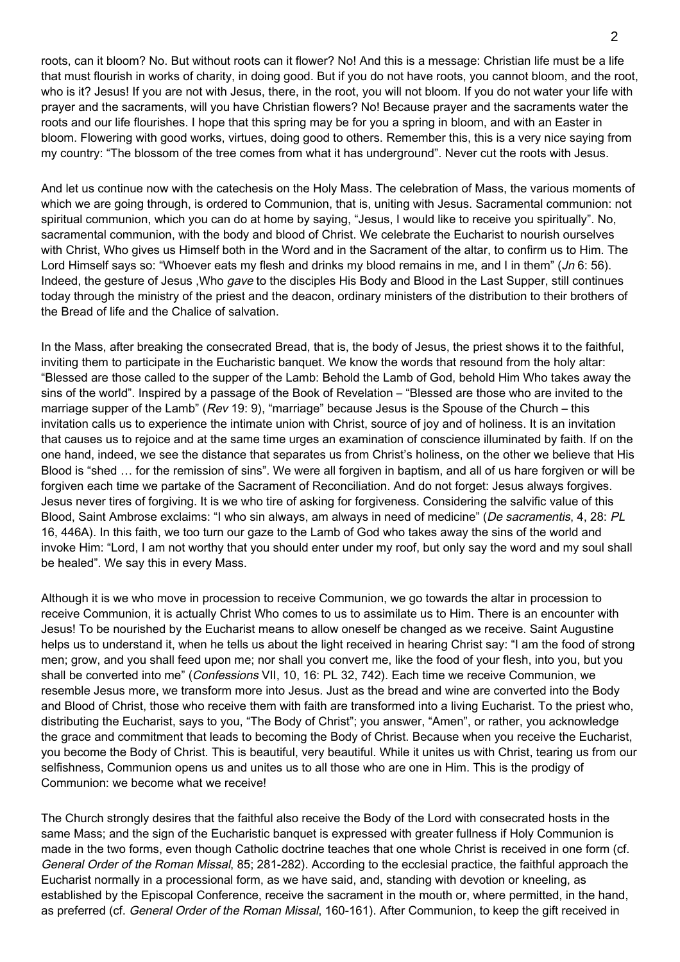roots, can it bloom? No. But without roots can it flower? No! And this is a message: Christian life must be a life that must flourish in works of charity, in doing good. But if you do not have roots, you cannot bloom, and the root, who is it? Jesus! If you are not with Jesus, there, in the root, you will not bloom. If you do not water your life with prayer and the sacraments, will you have Christian flowers? No! Because prayer and the sacraments water the roots and our life flourishes. I hope that this spring may be for you a spring in bloom, and with an Easter in bloom. Flowering with good works, virtues, doing good to others. Remember this, this is a very nice saying from my country: "The blossom of the tree comes from what it has underground". Never cut the roots with Jesus.

And let us continue now with the catechesis on the Holy Mass. The celebration of Mass, the various moments of which we are going through, is ordered to Communion, that is, uniting with Jesus. Sacramental communion: not spiritual communion, which you can do at home by saying, "Jesus, I would like to receive you spiritually". No, sacramental communion, with the body and blood of Christ. We celebrate the Eucharist to nourish ourselves with Christ, Who gives us Himself both in the Word and in the Sacrament of the altar, to confirm us to Him. The Lord Himself says so: "Whoever eats my flesh and drinks my blood remains in me, and I in them" (Jn 6: 56). Indeed, the gesture of Jesus ,Who gave to the disciples His Body and Blood in the Last Supper, still continues today through the ministry of the priest and the deacon, ordinary ministers of the distribution to their brothers of the Bread of life and the Chalice of salvation.

In the Mass, after breaking the consecrated Bread, that is, the body of Jesus, the priest shows it to the faithful, inviting them to participate in the Eucharistic banquet. We know the words that resound from the holy altar: "Blessed are those called to the supper of the Lamb: Behold the Lamb of God, behold Him Who takes away the sins of the world". Inspired by a passage of the Book of Revelation – "Blessed are those who are invited to the marriage supper of the Lamb" (Rev 19: 9), "marriage" because Jesus is the Spouse of the Church – this invitation calls us to experience the intimate union with Christ, source of joy and of holiness. It is an invitation that causes us to rejoice and at the same time urges an examination of conscience illuminated by faith. If on the one hand, indeed, we see the distance that separates us from Christ's holiness, on the other we believe that His Blood is "shed … for the remission of sins". We were all forgiven in baptism, and all of us hare forgiven or will be forgiven each time we partake of the Sacrament of Reconciliation. And do not forget: Jesus always forgives. Jesus never tires of forgiving. It is we who tire of asking for forgiveness. Considering the salvific value of this Blood, Saint Ambrose exclaims: "I who sin always, am always in need of medicine" (De sacramentis, 4, 28: PL 16, 446A). In this faith, we too turn our gaze to the Lamb of God who takes away the sins of the world and invoke Him: "Lord, I am not worthy that you should enter under my roof, but only say the word and my soul shall be healed". We say this in every Mass.

Although it is we who move in procession to receive Communion, we go towards the altar in procession to receive Communion, it is actually Christ Who comes to us to assimilate us to Him. There is an encounter with Jesus! To be nourished by the Eucharist means to allow oneself be changed as we receive. Saint Augustine helps us to understand it, when he tells us about the light received in hearing Christ say: "I am the food of strong men; grow, and you shall feed upon me; nor shall you convert me, like the food of your flesh, into you, but you shall be converted into me" (Confessions VII, 10, 16: PL 32, 742). Each time we receive Communion, we resemble Jesus more, we transform more into Jesus. Just as the bread and wine are converted into the Body and Blood of Christ, those who receive them with faith are transformed into a living Eucharist. To the priest who, distributing the Eucharist, says to you, "The Body of Christ"; you answer, "Amen", or rather, you acknowledge the grace and commitment that leads to becoming the Body of Christ. Because when you receive the Eucharist, you become the Body of Christ. This is beautiful, very beautiful. While it unites us with Christ, tearing us from our selfishness, Communion opens us and unites us to all those who are one in Him. This is the prodigy of Communion: we become what we receive!

The Church strongly desires that the faithful also receive the Body of the Lord with consecrated hosts in the same Mass; and the sign of the Eucharistic banquet is expressed with greater fullness if Holy Communion is made in the two forms, even though Catholic doctrine teaches that one whole Christ is received in one form (cf. General Order of the Roman Missal, 85; 281-282). According to the ecclesial practice, the faithful approach the Eucharist normally in a processional form, as we have said, and, standing with devotion or kneeling, as established by the Episcopal Conference, receive the sacrament in the mouth or, where permitted, in the hand, as preferred (cf. General Order of the Roman Missal, 160-161). After Communion, to keep the gift received in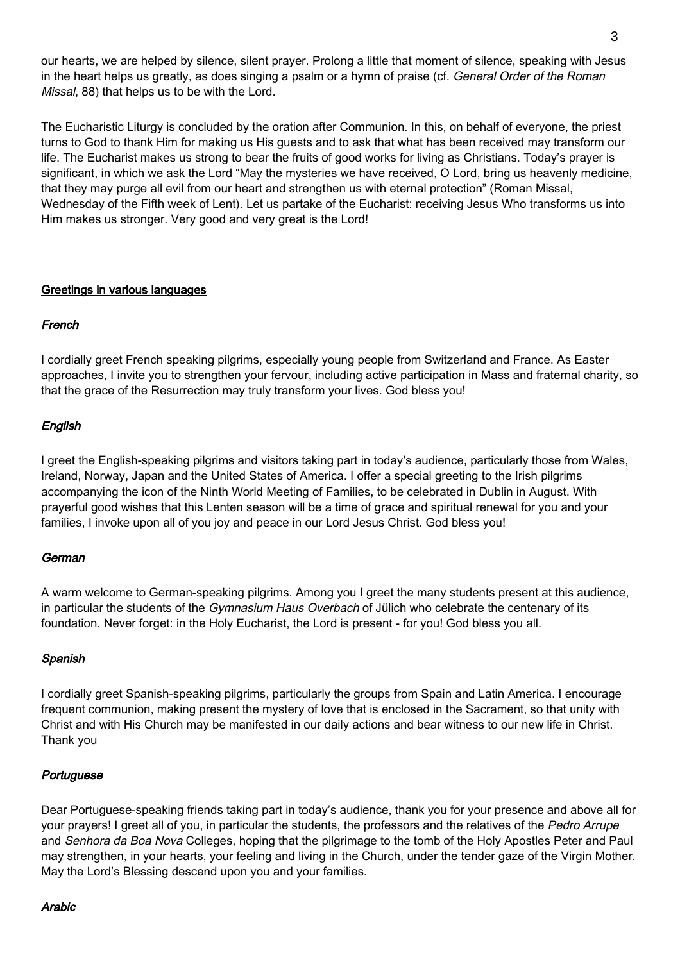our hearts, we are helped by silence, silent prayer. Prolong a little that moment of silence, speaking with Jesus in the heart helps us greatly, as does singing a psalm or a hymn of praise (cf. General Order of the Roman Missal, 88) that helps us to be with the Lord.

The Eucharistic Liturgy is concluded by the oration after Communion. In this, on behalf of everyone, the priest turns to God to thank Him for making us His guests and to ask that what has been received may transform our life. The Eucharist makes us strong to bear the fruits of good works for living as Christians. Today's prayer is significant, in which we ask the Lord "May the mysteries we have received, O Lord, bring us heavenly medicine, that they may purge all evil from our heart and strengthen us with eternal protection" (Roman Missal, Wednesday of the Fifth week of Lent). Let us partake of the Eucharist: receiving Jesus Who transforms us into Him makes us stronger. Very good and very great is the Lord!

### Greetings in various languages

### French

I cordially greet French speaking pilgrims, especially young people from Switzerland and France. As Easter approaches, I invite you to strengthen your fervour, including active participation in Mass and fraternal charity, so that the grace of the Resurrection may truly transform your lives. God bless you!

## English

I greet the English-speaking pilgrims and visitors taking part in today's audience, particularly those from Wales, Ireland, Norway, Japan and the United States of America. I offer a special greeting to the Irish pilgrims accompanying the icon of the Ninth World Meeting of Families, to be celebrated in Dublin in August. With prayerful good wishes that this Lenten season will be a time of grace and spiritual renewal for you and your families, I invoke upon all of you joy and peace in our Lord Jesus Christ. God bless you!

## **German**

A warm welcome to German-speaking pilgrims. Among you I greet the many students present at this audience, in particular the students of the *Gymnasium Haus Overbach* of Jülich who celebrate the centenary of its foundation. Never forget: in the Holy Eucharist, the Lord is present - for you! God bless you all.

#### Spanish

I cordially greet Spanish-speaking pilgrims, particularly the groups from Spain and Latin America. I encourage frequent communion, making present the mystery of love that is enclosed in the Sacrament, so that unity with Christ and with His Church may be manifested in our daily actions and bear witness to our new life in Christ. Thank you

#### Portuguese

Dear Portuguese-speaking friends taking part in today's audience, thank you for your presence and above all for your prayers! I greet all of you, in particular the students, the professors and the relatives of the Pedro Arrupe and Senhora da Boa Nova Colleges, hoping that the pilgrimage to the tomb of the Holy Apostles Peter and Paul may strengthen, in your hearts, your feeling and living in the Church, under the tender gaze of the Virgin Mother. May the Lord's Blessing descend upon you and your families.